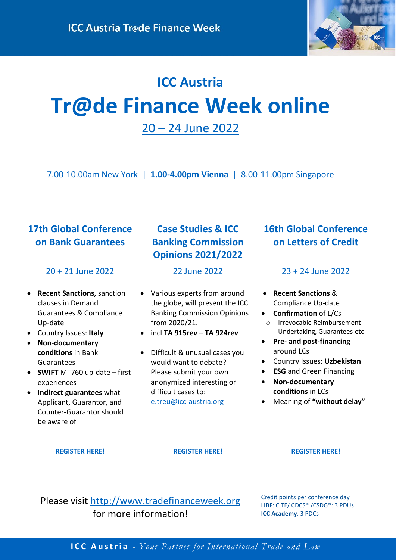

# **ICC Austria Tr@de Finance Week online** 20 – 24 [June 2022](http://www.tradefinanceweek.org/)

7.00-10.00am New York | **1.00-4.00pm Vienna** | 8.00-11.00pm Singapore

### **17th Global Conference on Bank Guarantees**

### 20 + 21 June 2022

- **Recent Sanctions,** sanction clauses in Demand Guarantees & Compliance Up-date
- Country Issues: **Italy**
- **Non-documentary conditions** in Bank Guarantees
- **SWIFT** MT760 up-date first experiences
- **Indirect guarantees** what Applicant, Guarantor, and Counter-Guarantor should be aware of

### **Case Studies & ICC Banking Commission Opinions 2021/2022**

22 June 2022

- Various experts from around the globe, will present the ICC Banking Commission Opinions from 2020/21.
- incl **TA 915rev – TA 924rev**
- Difficult & unusual cases you would want to debate? Please submit your own anonymized interesting or difficult cases to: [e.treu@icc-austria.org](mailto:e.treu@icc-austria.org)

### **16th Global Conference on Letters of Credit**

### 23 + 24 June 2022

- **Recent Sanctions** & Compliance Up-date
- **Confirmation** of L/Cs
- o Irrevocable Reimbursement Undertaking, Guarantees etc
- **Pre- and post-financing** around LCs
- Country Issues: **Uzbekistan**
- **ESG** and Green Financing
- **Non-documentary conditions** in LCs
- Meaning of **"without delay"**

### **[REGISTER HERE!](https://www.icc-austria.org/en/Trainings/current-topics/2770.htm) [REGISTER HERE!](https://www.icc-austria.org/en/Trainings/current-topics/2771.htm) [REGISTER HERE!](https://www.icc-austria.org/en/Trainings/current-topics/2772.htm)**

Please visit [http://www.tradefinanceweek.org](http://www.tradefinanceweek.org/) for more information!

Credit points per conference day **LIBF**: CITF/ CDCS® /CSDG®: 3 PDUs **ICC Academy**: 3 PDCs

**ICC Austria** *- Your Partner for International Trade and Law*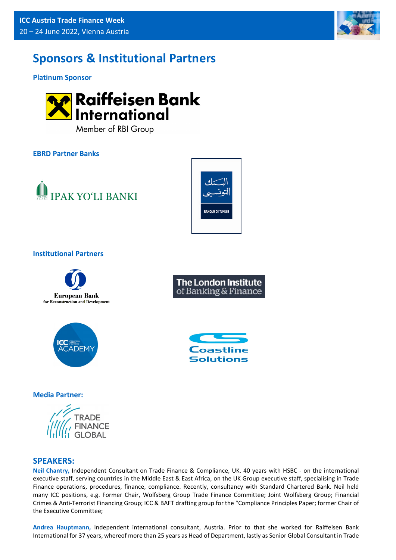

## **Sponsors & Institutional Partners**

**Platinum Sponsor**



Member of RBI Group

### **EBRD Partner Banks**





### **Institutional Partners**





### **Media Partner:**



### **SPEAKERS:**

**Neil Chantry,** Independent Consultant on Trade Finance & Compliance, UK. 40 years with HSBC - on the international executive staff, serving countries in the Middle East & East Africa, on the UK Group executive staff, specialising in Trade Finance operations, procedures, finance, compliance. Recently, consultancy with Standard Chartered Bank. Neil held many ICC positions, e.g. Former Chair, Wolfsberg Group Trade Finance Committee; Joint Wolfsberg Group; Financial Crimes & Anti-Terrorist Financing Group; ICC & BAFT drafting group for the "Compliance Principles Paper; former Chair of the Executive Committee;

**Andrea Hauptmann,** Independent international consultant, Austria. Prior to that she worked for Raiffeisen Bank International for 37 years, whereof more than 25 years as Head of Department, lastly as Senior Global Consultant in Trade



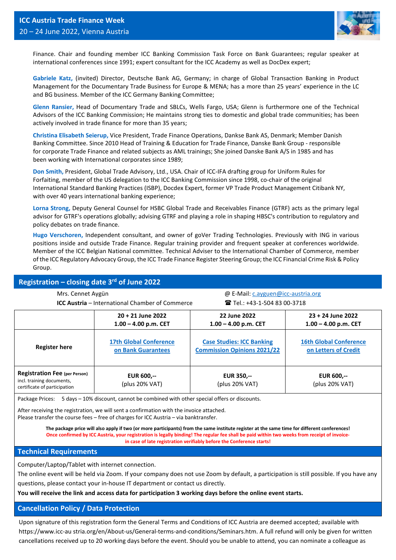

Finance. Chair and founding member ICC Banking Commission Task Force on Bank Guarantees; regular speaker at international conferences since 1991; expert consultant for the ICC Academy as well as DocDex expert;

**Gabriele Katz,** (invited) Director, Deutsche Bank AG, Germany; in charge of Global Transaction Banking in Product Management for the Documentary Trade Business for Europe & MENA; has a more than 25 years' experience in the LC and BG business. Member of the ICC Germany Banking Committee;

**Glenn Ransier,** Head of Documentary Trade and SBLCs, Wells Fargo, USA; Glenn is furthermore one of the Technical Advisors of the ICC Banking Commission; He maintains strong ties to domestic and global trade communities; has been actively involved in trade finance for more than 35 years;

**Christina Elisabeth Seierup,** Vice President, Trade Finance Operations, Dankse Bank AS, Denmark; Member Danish Banking Committee. Since 2010 Head of Training & Education for Trade Finance, Danske Bank Group - responsible for corporate Trade Finance and related subjects as AML trainings; She joined Danske Bank A/S in 1985 and has been working with International corporates since 1989;

**Don Smith,** President, Global Trade Advisory, Ltd., USA. Chair of ICC-IFA drafting group for Uniform Rules for Forfaiting, member of the US delegation to the ICC Banking Commission since 1998, co-chair of the original International Standard Banking Practices (ISBP), Docdex Expert, former VP Trade Product Management Citibank NY, with over 40 years international banking experience;

**Lorna Strong,** Deputy General Counsel for HSBC Global Trade and Receivables Finance (GTRF) acts as the primary legal advisor for GTRF's operations globally; advising GTRF and playing a role in shaping HBSC's contribution to regulatory and policy debates on trade finance.

**Hugo Verschoren,** Independent consultant, and owner of goVer Trading Technologies. Previously with ING in various positions inside and outside Trade Finance. Regular training provider and frequent speaker at conferences worldwide. Member of the ICC Belgian National committee. Technical Adviser to the International Chamber of Commerce, member of the ICC Regulatory Advocacy Group, the ICC Trade Finance Register Steering Group; the ICC Financial Crime Risk & Policy Group.

#### **Registration – closing date 3rd of June 2022**

| Registration crosing date 5 or June 2022                                                           |                                                        |                                                                        |                                                       |
|----------------------------------------------------------------------------------------------------|--------------------------------------------------------|------------------------------------------------------------------------|-------------------------------------------------------|
| Mrs. Cennet Aygün                                                                                  |                                                        | @ E-Mail: c.ayguen@icc-austria.org                                     |                                                       |
|                                                                                                    | <b>ICC Austria</b> – International Chamber of Commerce | <b>Tel.: +43-1-504 83 00-3718</b>                                      |                                                       |
|                                                                                                    | 20 + 21 June 2022<br>$1.00 - 4.00$ p.m. CET            | 22 June 2022<br>$1.00 - 4.00$ p.m. CET                                 | 23 + 24 June 2022<br>$1.00 - 4.00$ p.m. CET           |
| <b>Register here</b>                                                                               | <b>17th Global Conference</b><br>on Bank Guarantees    | <b>Case Studies: ICC Banking</b><br><b>Commission Opinions 2021/22</b> | <b>16th Global Conference</b><br>on Letters of Credit |
| <b>Registration Fee (per Person)</b><br>incl. training documents,<br>aartifiaata af nartigjnation. | <b>EUR 600,--</b><br>(plus 20% VAT)                    | <b>EUR 350,--</b><br>(plus 20% VAT)                                    | <b>EUR 600,--</b><br>(plus 20% VAT)                   |

Package Prices: 5 days - 10% discount, cannot be combined with other special offers or discounts.

After receiving the registration, we will sent a confirmation with the invoice attached. Please transfer the course fees – free of charges for ICC Austria – via banktransfer.

> **The package price will also apply if two (or more participants) from the same institute register at the same time for different conferences! Once confirmed by ICC Austria, your registration is legally binding! The regular fee shall be paid within two weeks from receipt of invoicein case of late registration verifiably before the Conference starts!**

#### **Technical Requirements**

certificate of participation

Computer/Laptop/Tablet with internet connection.

The online event will be held via Zoom. If your company does not use Zoom by default, a participation is still possible. If you have any questions, please contact your in-house IT department or contact us directly.

**You will receive the link and access data for participation 3 working days before the online event starts.**

#### **Cancellation Policy / Data Protection**

Upon signature of this registration form the General Terms and Conditions of ICC Austria are deemed accepted; available with https://www.icc-au stria.org/en/About-us/General-terms-and-conditions/Seminars.htm. A full refund will only be given for written cancellations received up to 20 working days before the event. Should you be unable to attend, you can nominate a colleague as